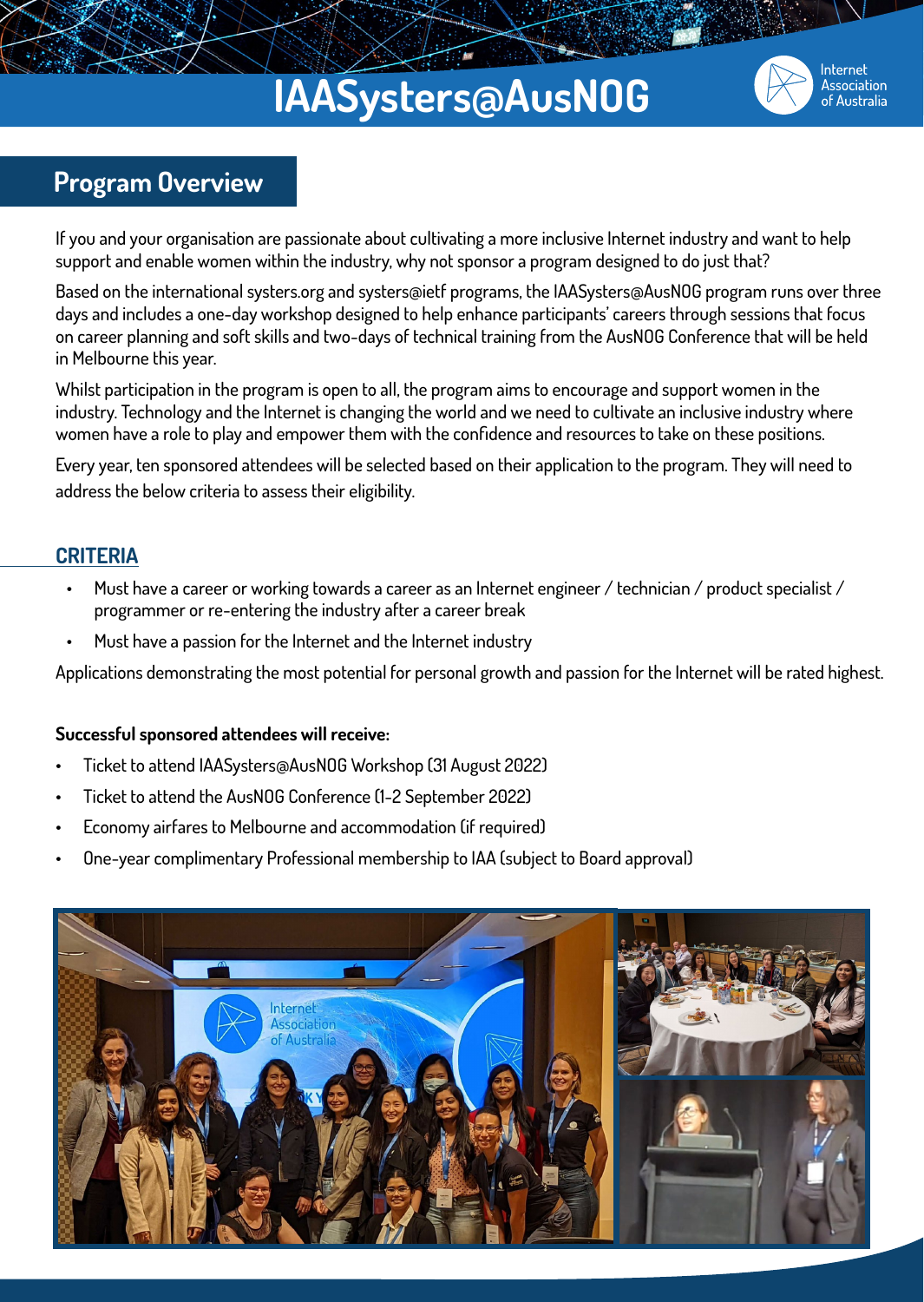## **IAASysters@AusNOG**



Internet Association of Australia

### **Program Overview**

If you and your organisation are passionate about cultivating a more inclusive Internet industry and want to help support and enable women within the industry, why not sponsor a program designed to do just that?

Based on the international systers.org and systers@ietf programs, the IAASysters@AusNOG program runs over three days and includes a one-day workshop designed to help enhance participants' careers through sessions that focus on career planning and soft skills and two-days of technical training from the AusNOG Conference that will be held in Melbourne this year.

Whilst participation in the program is open to all, the program aims to encourage and support women in the industry. Technology and the Internet is changing the world and we need to cultivate an inclusive industry where women have a role to play and empower them with the confidence and resources to take on these positions.

Every year, ten sponsored attendees will be selected based on their application to the program. They will need to address the below criteria to assess their eligibility.

### **CRITERIA**

- Must have a career or working towards a career as an Internet engineer / technician / product specialist / programmer or re-entering the industry after a career break
- Must have a passion for the Internet and the Internet industry

Applications demonstrating the most potential for personal growth and passion for the Internet will be rated highest.

#### **Successful sponsored attendees will receive:**

- Ticket to attend IAASysters@AusNOG Workshop (31 August 2022)
- Ticket to attend the AusNOG Conference (1-2 September 2022)
- Economy airfares to Melbourne and accommodation (if required)
- One-year complimentary Professional membership to IAA (subject to Board approval)